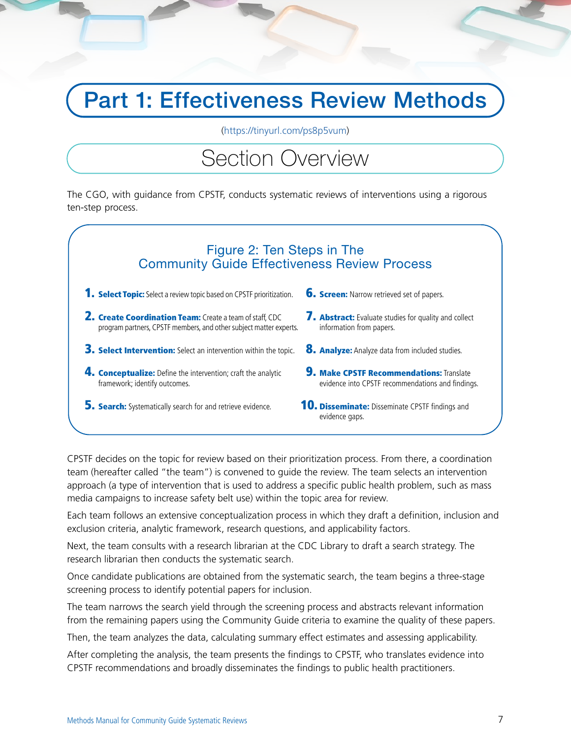## Part 1: Effectiveness Review Methods

[\(https://tinyurl.com/ps8p5vum\)](https://tinyurl.com/ps8p5vum)

## Section Overview

The CGO, with guidance from CPSTF, conducts systematic reviews of interventions using a rigorous ten-step process.



CPSTF decides on the topic for review based on their prioritization process. From there, a coordination team (hereafter called "the team") is convened to guide the review. The team selects an intervention approach (a type of intervention that is used to address a specific public health problem, such as mass media campaigns to increase safety belt use) within the topic area for review.

Each team follows an extensive conceptualization process in which they draft a definition, inclusion and exclusion criteria, analytic framework, research questions, and applicability factors.

Next, the team consults with a research librarian at the CDC Library to draft a search strategy. The research librarian then conducts the systematic search.

Once candidate publications are obtained from the systematic search, the team begins a three-stage screening process to identify potential papers for inclusion.

The team narrows the search yield through the screening process and abstracts relevant information from the remaining papers using the Community Guide criteria to examine the quality of these papers.

Then, the team analyzes the data, calculating summary effect estimates and assessing applicability.

After completing the analysis, the team presents the findings to CPSTF, who translates evidence into CPSTF recommendations and broadly disseminates the findings to public health practitioners.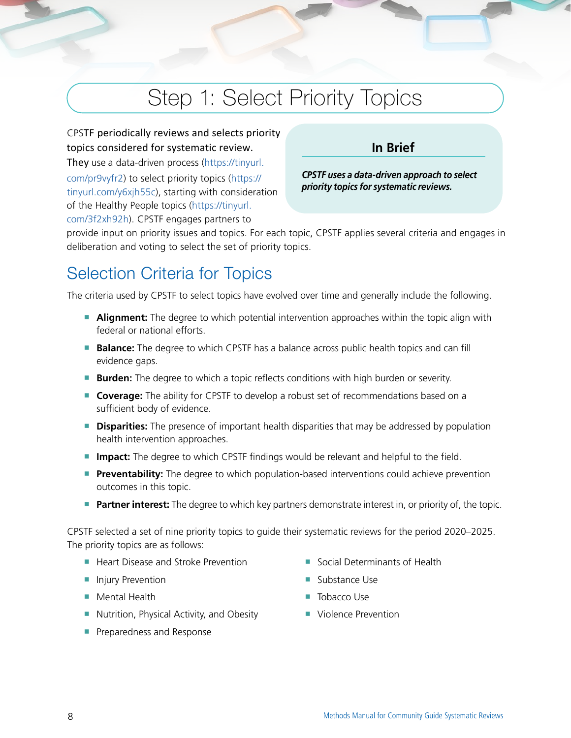## Step 1: Select Priority Topics

CPSTF periodically reviews and selects priority topics considered for systematic review. **In Brief** They use a data-driven process (https://tinyurl. com/pr9vyfr2) to select priority topics (https:// *CPSTF uses a data-driven approach to select priority topics for systematic reviews.* tinyurl.com/y6xjh55c), starting with consideration of the Healthy People topics (https://tinyurl. com/3f2xh92h). CPSTF engages partners to

provide input on priority issues and topics. For each topic, CPSTF applies several criteria and engages in deliberation and voting to select the set of priority topics.

### Selection Criteria for Topics

The criteria used by CPSTF to select topics have evolved over time and generally include the following.

- **Alignment:** The degree to which potential intervention approaches within the topic align with federal or national efforts.
- **Balance:** The degree to which CPSTF has a balance across public health topics and can fill evidence gaps.
- **Burden:** The degree to which a topic reflects conditions with high burden or severity.
- **Coverage:** The ability for CPSTF to develop a robust set of recommendations based on a sufficient body of evidence.
- **Disparities:** The presence of important health disparities that may be addressed by population health intervention approaches.
- **Impact:** The degree to which CPSTF findings would be relevant and helpful to the field.
- **Preventability:** The degree to which population-based interventions could achieve prevention outcomes in this topic.
- **Partner interest:** The degree to which key partners demonstrate interest in, or priority of, the topic.

CPSTF selected a set of nine priority topics to guide their systematic reviews for the period 2020–2025. The priority topics are as follows:

- Heart Disease and Stroke Prevention
- Injury Prevention
- Mental Health
- Nutrition, Physical Activity, and Obesity
- Preparedness and Response
- Social Determinants of Health
- Substance Use
- Tobacco Use
- Violence Prevention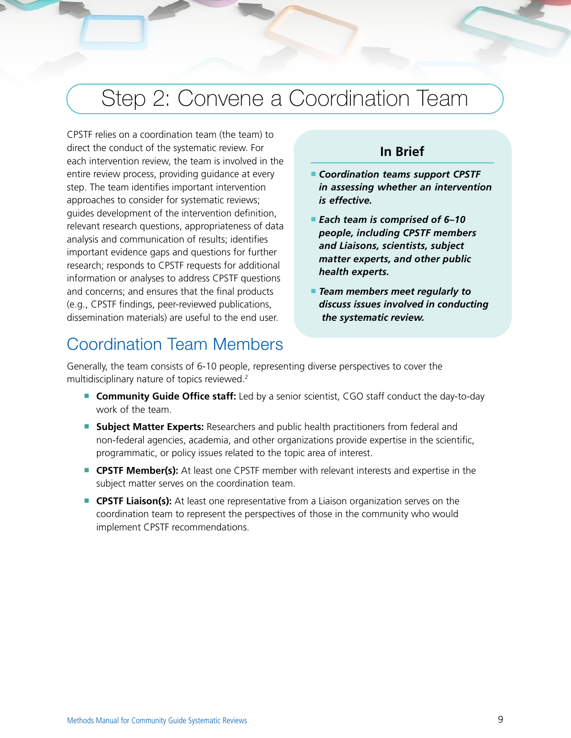## Step 2: Convene a Coordination Team

CPSTF relies on a coordination team (the team) to direct the conduct of the systematic review. For each intervention review, the team is involved in the entire review process, providing guidance at every step. The team identifies important intervention approaches to consider for systematic reviews; guides development of the intervention definition, relevant research questions, appropriateness of data analysis and communication of results; identifies important evidence gaps and questions for further research; responds to CPSTF requests for additional information or analyses to address CPSTF questions and concerns; and ensures that the final products (e.g., CPSTF findings, peer-reviewed publications, dissemination materials) are useful to the end user.

### **In Brief**

- **Coordination teams support CPSTF** *in assessing whether an intervention is effective.*
- *v people, including CPSTF members*  ■ *Each team is comprised of 6–10 and Liaisons, scientists, subject matter experts, and other public health experts.*
- *Team members meet regularly to discuss issues involved in conducting the systematic review.*

### Coordination Team Members

Generally, the team consists of 6-10 people, representing diverse perspectives to cover the multidisciplinary nature of topics reviewed.2

- **Community Guide Office staff:** Led by a senior scientist, CGO staff conduct the day-to-day work of the team.
- **Subject Matter Experts:** Researchers and public health practitioners from federal and non-federal agencies, academia, and other organizations provide expertise in the scientific, programmatic, or policy issues related to the topic area of interest.
- **CPSTF Member(s):** At least one CPSTF member with relevant interests and expertise in the subject matter serves on the coordination team.
- **CPSTF Liaison(s):** At least one representative from a Liaison organization serves on the coordination team to represent the perspectives of those in the community who would implement CPSTF recommendations.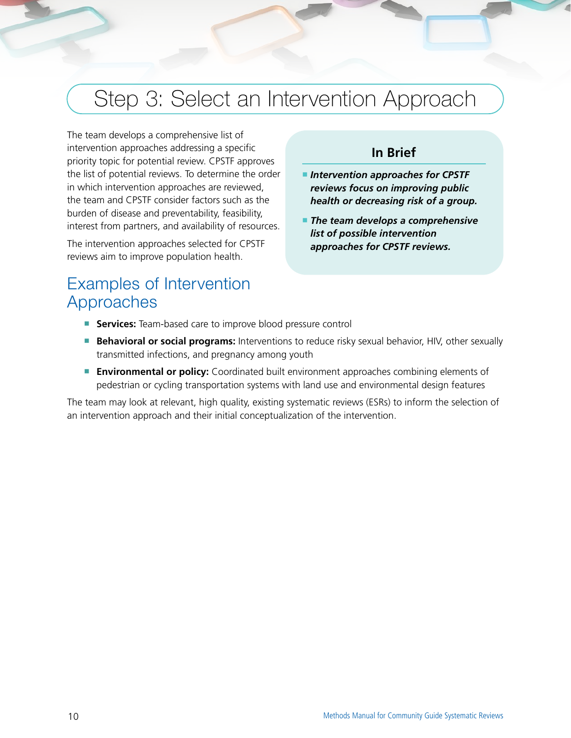## Step 3: Select an Intervention Approach

The team develops a comprehensive list of intervention approaches addressing a specific priority topic for potential review. CPSTF approves the list of potential reviews. To determine the order in which intervention approaches are reviewed, the team and CPSTF consider factors such as the burden of disease and preventability, feasibility, interest from partners, and availability of resources.

The intervention approaches selected for CPSTF reviews aim to improve population health.

### Examples of Intervention Approaches

### **In Brief**

- *Intervention approaches for CPSTF reviews focus on improving public health or decreasing risk of a group.*
- *The team develops a comprehensive list of possible intervention approaches for CPSTF reviews.*
- **Services:** Team-based care to improve blood pressure control
- **Behavioral or social programs:** Interventions to reduce risky sexual behavior, HIV, other sexually transmitted infections, and pregnancy among youth
- **Environmental or policy:** Coordinated built environment approaches combining elements of pedestrian or cycling transportation systems with land use and environmental design features

The team may look at relevant, high quality, existing systematic reviews (ESRs) to inform the selection of an intervention approach and their initial conceptualization of the intervention.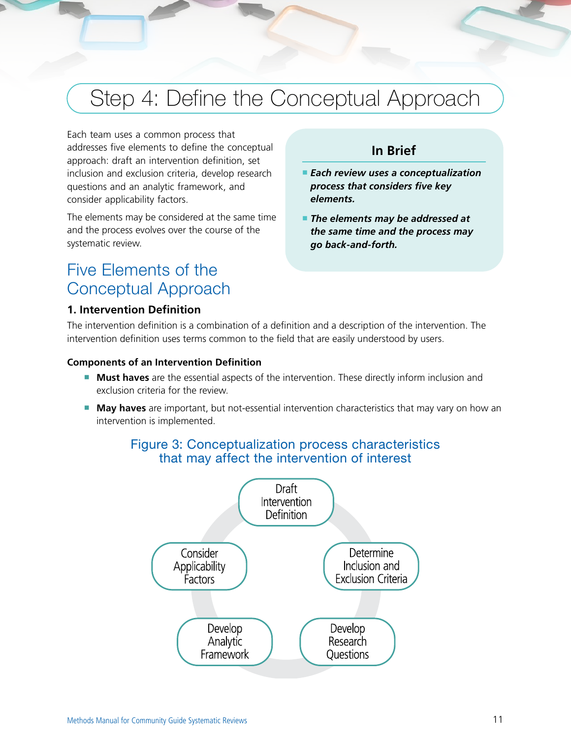## <span id="page-4-0"></span>Step 4: Define the Conceptual Approach

Each team uses a common process that addresses five elements to define the conceptual approach: draft an intervention definition, set inclusion and exclusion criteria, develop research questions and an analytic framework, and consider applicability factors.

The elements may be considered at the same time and the process evolves over the course of the systematic review.

### Five Elements of the Conceptual Approach

### **1. Intervention Definition**

### **In Brief**

- *Each review uses a conceptualization process that considers five key elements.*
- *The elements may be addressed at the same time and the process may go back-and-forth.*

The intervention definition is a combination of a definition and a description of the intervention. The intervention definition uses terms common to the field that are easily understood by users.

#### **Components of an Intervention Definition**

- **Must haves** are the essential aspects of the intervention. These directly inform inclusion and exclusion criteria for the review.
- **May haves** are important, but not-essential intervention characteristics that may vary on how an intervention is implemented.



### Figure 3: Conceptualization process characteristics that may affect the intervention of interest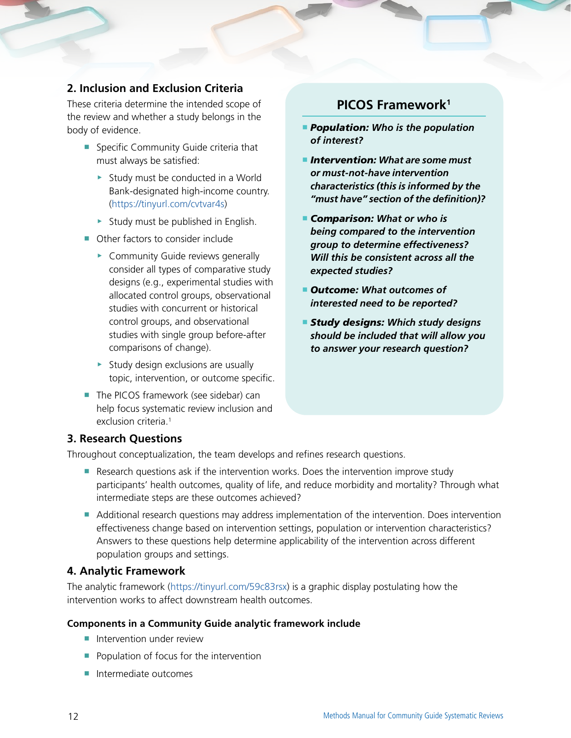### <span id="page-5-0"></span>**2. Inclusion and Exclusion Criteria**

These criteria determine the intended scope of the review and whether a study belongs in the body of evidence.

- Specific Community Guide criteria that must always be satisfied:
	- ▶ Study must be conducted in a World Bank-designated high-income country. ([https://tinyurl.com/cvtvar4s\)](https://tinyurl.com/cvtvar4s)
	- ▶ Study must be published in English.
- Other factors to consider include
	- ▶ Community Guide reviews generally consider all types of comparative study designs (e.g., experimental studies with allocated control groups, observational studies with concurrent or historical control groups, and observational studies with single group before-after comparisons of change).
	- $\triangleright$  Study design exclusions are usually topic, intervention, or outcome specific.
- The PICOS framework (see sidebar) can help focus systematic review inclusion and exclusion criteria.<sup>1</sup>

### **PICOS Framework1**

- **Population:** Who is the population *of interest?*
- *Intervention: What are some must or must-not-have intervention characteristics (this is informed by the "must have" section of the definition)?*
- **Comparison:** What or who is *being compared to the intervention group to determine effectiveness? Will this be consistent across all the expected studies?*
- *Outcome:* What outcomes of *interested need to be reported?*
- *Study designs: Which study designs should be included that will allow you to answer your research question?*

### **3. Research Questions**

Throughout conceptualization, the team develops and refines research questions.

- Research questions ask if the intervention works. Does the intervention improve study participants' health outcomes, quality of life, and reduce morbidity and mortality? Through what intermediate steps are these outcomes achieved?
- Additional research questions may address implementation of the intervention. Does intervention effectiveness change based on intervention settings, population or intervention characteristics? Answers to these questions help determine applicability of the intervention across different population groups and settings.

#### **4. Analytic Framework**

The analytic framework ([https://tinyurl.com/59c83rsx\)](https://tinyurl.com/59c83rsx) is a graphic display postulating how the intervention works to affect downstream health outcomes.

#### **Components in a Community Guide analytic framework include**

- Intervention under review
- Population of focus for the intervention
- Intermediate outcomes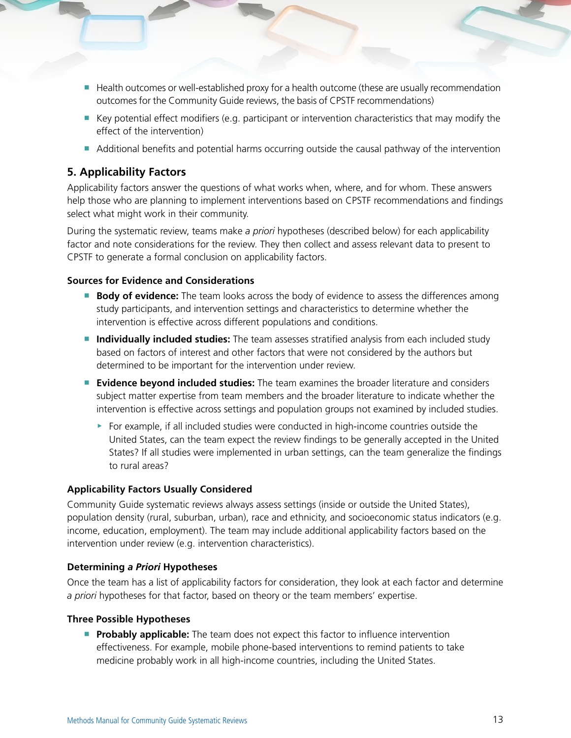- <span id="page-6-0"></span>■ Health outcomes or well-established proxy for a health outcome (these are usually recommendation outcomes for the Community Guide reviews, the basis of CPSTF recommendations)
- Key potential effect modifiers (e.g. participant or intervention characteristics that may modify the effect of the intervention)
- Additional benefits and potential harms occurring outside the causal pathway of the intervention

### **5. Applicability Factors**

Applicability factors answer the questions of what works when, where, and for whom. These answers help those who are planning to implement interventions based on CPSTF recommendations and findings select what might work in their community.

During the systematic review, teams make *a priori* hypotheses (described below) for each applicability factor and note considerations for the review. They then collect and assess relevant data to present to CPSTF to generate a formal conclusion on applicability factors.

#### **Sources for Evidence and Considerations**

- **Body of evidence:** The team looks across the body of evidence to assess the differences among study participants, and intervention settings and characteristics to determine whether the intervention is effective across different populations and conditions.
- **Individually included studies:** The team assesses stratified analysis from each included study based on factors of interest and other factors that were not considered by the authors but determined to be important for the intervention under review.
- **Evidence beyond included studies:** The team examines the broader literature and considers subject matter expertise from team members and the broader literature to indicate whether the intervention is effective across settings and population groups not examined by included studies.
	- ▶ For example, if all included studies were conducted in high-income countries outside the United States, can the team expect the review findings to be generally accepted in the United States? If all studies were implemented in urban settings, can the team generalize the findings to rural areas?

#### **Applicability Factors Usually Considered**

Community Guide systematic reviews always assess settings (inside or outside the United States), population density (rural, suburban, urban), race and ethnicity, and socioeconomic status indicators (e.g. income, education, employment). The team may include additional applicability factors based on the intervention under review (e.g. intervention characteristics).

#### **Determining** *a Priori* **Hypotheses**

Once the team has a list of applicability factors for consideration, they look at each factor and determine *a priori* hypotheses for that factor, based on theory or the team members' expertise.

#### **Three Possible Hypotheses**

**Probably applicable:** The team does not expect this factor to influence intervention effectiveness. For example, mobile phone-based interventions to remind patients to take medicine probably work in all high-income countries, including the United States.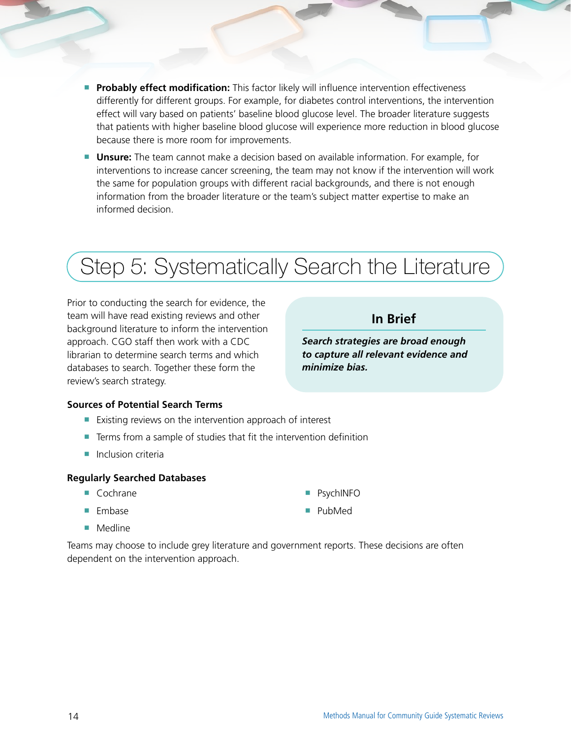- **Probably effect modification:** This factor likely will influence intervention effectiveness differently for different groups. For example, for diabetes control interventions, the intervention effect will vary based on patients' baseline blood glucose level. The broader literature suggests that patients with higher baseline blood glucose will experience more reduction in blood glucose because there is more room for improvements.
- **Unsure:** The team cannot make a decision based on available information. For example, for interventions to increase cancer screening, the team may not know if the intervention will work the same for population groups with different racial backgrounds, and there is not enough information from the broader literature or the team's subject matter expertise to make an informed decision.

# Step 5: Systematically Search the Literature

Prior to conducting the search for evidence, the team will have read existing reviews and other background literature to inform the intervention approach. CGO staff then work with a CDC librarian to determine search terms and which databases to search. Together these form the review's search strategy.

### **In Brief**

*Search strategies are broad enough to capture all relevant evidence and minimize bias.* 

#### **Sources of Potential Search Terms**

- Existing reviews on the intervention approach of interest
- Terms from a sample of studies that fit the intervention definition
- Inclusion criteria

#### **Regularly Searched Databases**

- Cochrane
- Embase
- Medline

Teams may choose to include grey literature and government reports. These decisions are often dependent on the intervention approach.

■ PsychINFO ■ PubMed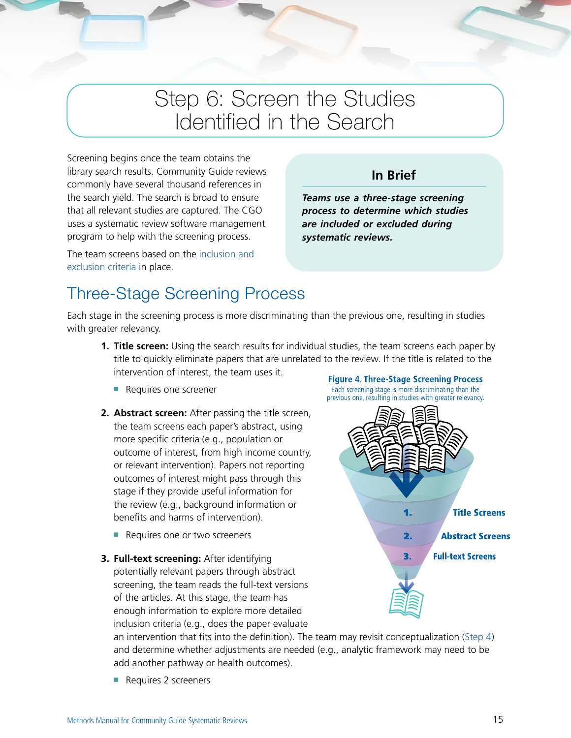## Step 6: Screen the Studies Identified in the Search

Screening begins once the team obtains the library search results. Community Guide reviews commonly have several thousand references in the search yield. The search is broad to ensure that all relevant studies are captured. The CGO uses a systematic review software management program to help with the screening process.

The team screens based on the [inclusion and](#page-5-0)  [exclusion criteria](#page-5-0) in place.

### **In Brief**

*Teams use a three-stage screening process to determine which studies are included or excluded during systematic reviews.* 

### Three-Stage Screening Process

Each stage in the screening process is more discriminating than the previous one, resulting in studies with greater relevancy.

- **1. Title screen:** Using the search results for individual studies, the team screens each paper by title to quickly eliminate papers that are unrelated to the review. If the title is related to the intervention of interest, the team uses it. **Figure 4. Three-Stage Screening Process** 
	- Requires one screener
- **2. Abstract screen:** After passing the title screen, the team screens each paper's abstract, using more specific criteria (e.g., population or outcome of interest, from high income country, or relevant intervention). Papers not reporting outcomes of interest might pass through this stage if they provide useful information for the review (e.g., background information or benefits and harms of intervention).
	- Requires one or two screeners
- **3. Full-text screening:** After identifying potentially relevant papers through abstract screening, the team reads the full-text versions of the articles. At this stage, the team has enough information to explore more detailed inclusion criteria (e.g., does the paper evaluate



an intervention that fits into the definition). The team may revisit conceptualization ([Step 4](#page-4-0)) and determine whether adjustments are needed (e.g., analytic framework may need to be add another pathway or health outcomes).

■ Requires 2 screeners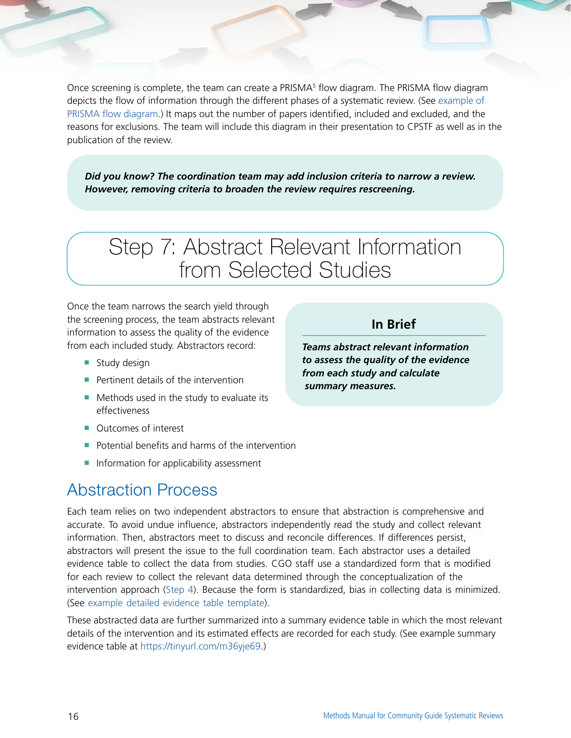Once screening is complete, the team can create a PRISMA<sup>5</sup> flow diagram. The PRISMA flow diagram depicts the flow of information through the different phases of a systematic review. (See [example of](#page--1-0)  [PRISMA flow diagram](#page--1-0).) It maps out the number of papers identified, included and excluded, and the reasons for exclusions. The team will include this diagram in their presentation to CPSTF as well as in the publication of the review.

*Did you know? The coordination team may add inclusion criteria to narrow a review. However, removing criteria to broaden the review requires rescreening.*

## Step 7: Abstract Relevant Information from Selected Studies

Once the team narrows the search yield through the screening process, the team abstracts relevant information to assess the quality of the evidence from each included study. Abstractors record:

- Study design
- Pertinent details of the intervention
- Methods used in the study to evaluate its effectiveness
- Outcomes of interest
- Potential benefits and harms of the intervention
- Information for applicability assessment

### Abstraction Process

Each team relies on two independent abstractors to ensure that abstraction is comprehensive and accurate. To avoid undue influence, abstractors independently read the study and collect relevant information. Then, abstractors meet to discuss and reconcile differences. If differences persist, abstractors will present the issue to the full coordination team. Each abstractor uses a detailed evidence table to collect the data from studies. CGO staff use a standardized form that is modified for each review to collect the relevant data determined through the conceptualization of the intervention approach ([Step 4](#page-4-0)). Because the form is standardized, bias in collecting data is minimized. (See [example detailed evidence table template](#page--1-0)).

These abstracted data are further summarized into a summary evidence table in which the most relevant details of the intervention and its estimated effects are recorded for each study. (See example summary evidence table at [https://tinyurl.com/m36yje69.](https://tinyurl.com/m36yje69))

*Teams abstract relevant information to assess the quality of the evidence from each study and calculate summary measures.* 

**In Brief**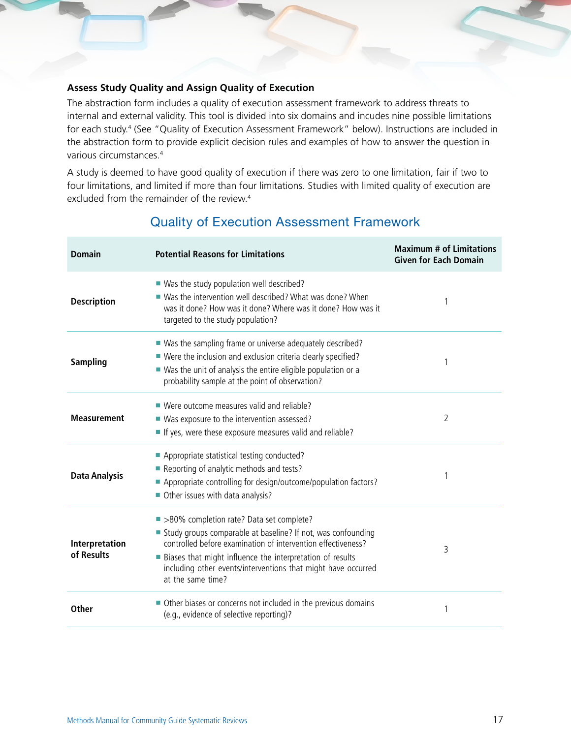#### **Assess Study Quality and Assign Quality of Execution**

The abstraction form includes a quality of execution assessment framework to address threats to internal and external validity. This tool is divided into six domains and incudes nine possible limitations for each study.4 (See "Quality of Execution Assessment Framework" below). Instructions are included in the abstraction form to provide explicit decision rules and examples of how to answer the question in various circumstances.4

A study is deemed to have good quality of execution if there was zero to one limitation, fair if two to four limitations, and limited if more than four limitations. Studies with limited quality of execution are excluded from the remainder of the review.<sup>4</sup>

| <b>Domain</b>                | <b>Potential Reasons for Limitations</b>                                                                                                                                                                                                                                                                                      | <b>Maximum # of Limitations</b><br><b>Given for Each Domain</b> |
|------------------------------|-------------------------------------------------------------------------------------------------------------------------------------------------------------------------------------------------------------------------------------------------------------------------------------------------------------------------------|-----------------------------------------------------------------|
| <b>Description</b>           | ■ Was the study population well described?<br>■ Was the intervention well described? What was done? When<br>was it done? How was it done? Where was it done? How was it<br>targeted to the study population?                                                                                                                  | 1                                                               |
| <b>Sampling</b>              | ■ Was the sampling frame or universe adequately described?<br>■ Were the inclusion and exclusion criteria clearly specified?<br>■ Was the unit of analysis the entire eligible population or a<br>probability sample at the point of observation?                                                                             | 1                                                               |
| <b>Measurement</b>           | ■ Were outcome measures valid and reliable?<br>■ Was exposure to the intervention assessed?<br>If yes, were these exposure measures valid and reliable?                                                                                                                                                                       | $\overline{2}$                                                  |
| <b>Data Analysis</b>         | Appropriate statistical testing conducted?<br>Reporting of analytic methods and tests?<br>Appropriate controlling for design/outcome/population factors?<br>Other issues with data analysis?                                                                                                                                  | 1                                                               |
| Interpretation<br>of Results | ■ >80% completion rate? Data set complete?<br>Study groups comparable at baseline? If not, was confounding<br>controlled before examination of intervention effectiveness?<br>Biases that might influence the interpretation of results<br>including other events/interventions that might have occurred<br>at the same time? | 3                                                               |
| <b>Other</b>                 | Other biases or concerns not included in the previous domains<br>п<br>(e.g., evidence of selective reporting)?                                                                                                                                                                                                                | 1                                                               |

### Quality of Execution Assessment Framework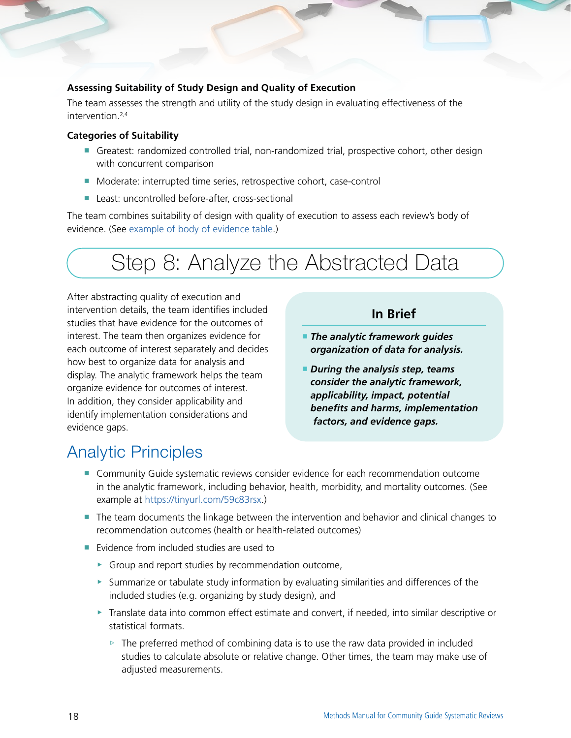#### **Assessing Suitability of Study Design and Quality of Execution**

The team assesses the strength and utility of the study design in evaluating effectiveness of the intervention.2,4

#### **Categories of Suitability**

- Greatest: randomized controlled trial, non-randomized trial, prospective cohort, other design with concurrent comparison
- Moderate: interrupted time series, retrospective cohort, case-control
- Least: uncontrolled before-after, cross-sectional

The team combines suitability of design with quality of execution to assess each review's body of evidence. (See [example of body of evidence table.](#page--1-0))

## Step 8: Analyze the Abstracted Data

After abstracting quality of execution and intervention details, the team identifies included studies that have evidence for the outcomes of interest. The team then organizes evidence for each outcome of interest separately and decides how best to organize data for analysis and display. The analytic framework helps the team organize evidence for outcomes of interest. In addition, they consider applicability and identify implementation considerations and evidence gaps.

### **In Brief**

- *The analytic framework guides organization of data for analysis.*
- *During the analysis step, teams consider the analytic framework, applicability, impact, potential benefits and harms, implementation factors, and evidence gaps.*

### Analytic Principles

- Community Guide systematic reviews consider evidence for each recommendation outcome in the analytic framework, including behavior, health, morbidity, and mortality outcomes. (See example at<https://tinyurl.com/59c83rsx>.)
- The team documents the linkage between the intervention and behavior and clinical changes to recommendation outcomes (health or health-related outcomes)
- Evidence from included studies are used to
	- ▶ Group and report studies by recommendation outcome,
	- ▶ Summarize or tabulate study information by evaluating similarities and differences of the included studies (e.g. organizing by study design), and
	- ▶ Translate data into common effect estimate and convert, if needed, into similar descriptive or statistical formats.
		- $\triangleright$  The preferred method of combining data is to use the raw data provided in included studies to calculate absolute or relative change. Other times, the team may make use of adjusted measurements.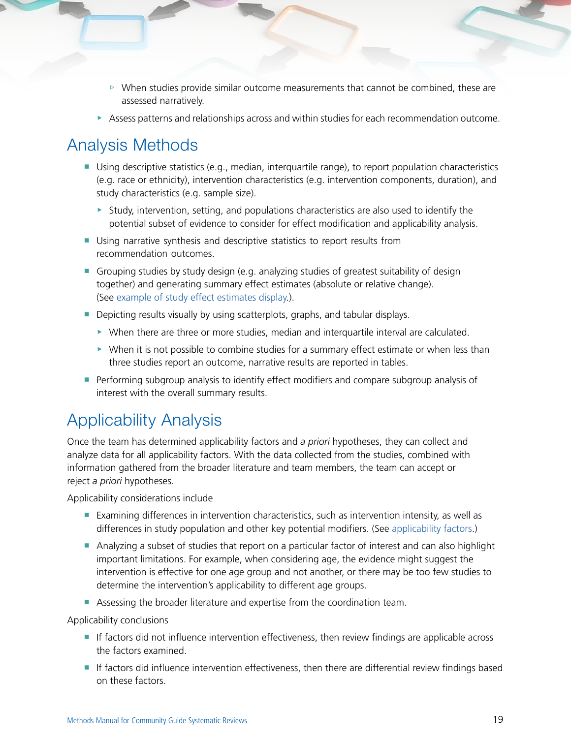- ▷ When studies provide similar outcome measurements that cannot be combined, these are assessed narratively.
- ▶ Assess patterns and relationships across and within studies for each recommendation outcome.

### Analysis Methods

- Using descriptive statistics (e.g., median, interquartile range), to report population characteristics (e.g. race or ethnicity), intervention characteristics (e.g. intervention components, duration), and study characteristics (e.g. sample size).
	- $\triangleright$  Study, intervention, setting, and populations characteristics are also used to identify the potential subset of evidence to consider for effect modification and applicability analysis.
- Using narrative synthesis and descriptive statistics to report results from recommendation outcomes.
- Grouping studies by study design (e.g. analyzing studies of greatest suitability of design together) and generating summary effect estimates (absolute or relative change). (See [example of study effect estimates display](#page--1-0).).
- Depicting results visually by using scatterplots, graphs, and tabular displays.
	- ▶ When there are three or more studies, median and interquartile interval are calculated.
	- ▶ When it is not possible to combine studies for a summary effect estimate or when less than three studies report an outcome, narrative results are reported in tables.
- Performing subgroup analysis to identify effect modifiers and compare subgroup analysis of interest with the overall summary results.

### Applicability Analysis

Once the team has determined applicability factors and *a priori* hypotheses, they can collect and analyze data for all applicability factors. With the data collected from the studies, combined with information gathered from the broader literature and team members, the team can accept or reject *a priori* hypotheses.

Applicability considerations include

- Examining differences in intervention characteristics, such as intervention intensity, as well as differences in study population and other key potential modifiers. (See [applicability factors](#page-6-0).)
- Analyzing a subset of studies that report on a particular factor of interest and can also highlight important limitations. For example, when considering age, the evidence might suggest the intervention is effective for one age group and not another, or there may be too few studies to determine the intervention's applicability to different age groups.
- Assessing the broader literature and expertise from the coordination team.

Applicability conclusions

- If factors did not influence intervention effectiveness, then review findings are applicable across the factors examined.
- If factors did influence intervention effectiveness, then there are differential review findings based on these factors.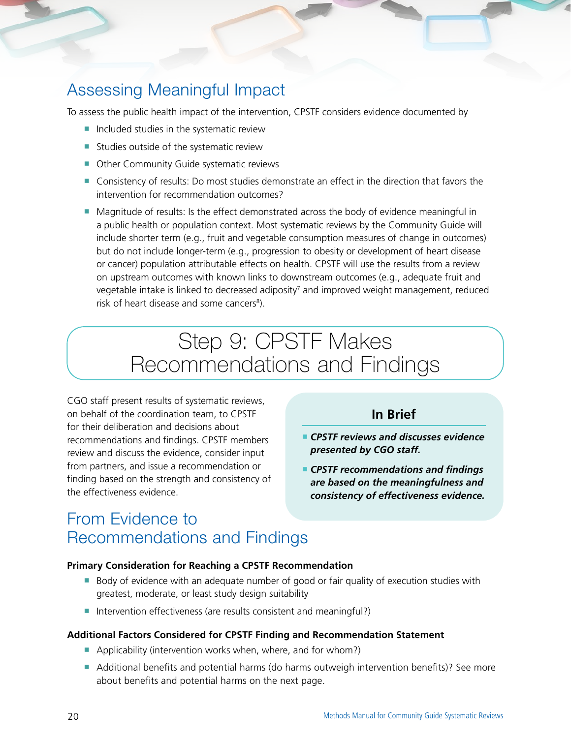## Assessing Meaningful Impact

To assess the public health impact of the intervention, CPSTF considers evidence documented by

- Included studies in the systematic review
- Studies outside of the systematic review
- Other Community Guide systematic reviews
- Consistency of results: Do most studies demonstrate an effect in the direction that favors the intervention for recommendation outcomes?
- Magnitude of results: Is the effect demonstrated across the body of evidence meaningful in a public health or population context. Most systematic reviews by the Community Guide will include shorter term (e.g., fruit and vegetable consumption measures of change in outcomes) but do not include longer-term (e.g., progression to obesity or development of heart disease or cancer) population attributable effects on health. CPSTF will use the results from a review on upstream outcomes with known links to downstream outcomes (e.g., adequate fruit and vegetable intake is linked to decreased adiposity<sup>7</sup> and improved weight management, reduced risk of heart disease and some cancers<sup>8</sup>).

## Step 9: CPSTF Makes Recommendations and Findings

CGO staff present results of systematic reviews, on behalf of the coordination team, to CPSTF for their deliberation and decisions about recommendations and findings. CPSTF members review and discuss the evidence, consider input from partners, and issue a recommendation or finding based on the strength and consistency of the effectiveness evidence.

### **In Brief**

- *CPSTF reviews and discusses evidence presented by CGO staff.*
- *CPSTF recommendations and findings are based on the meaningfulness and consistency of effectiveness evidence.*

### From Evidence to Recommendations and Findings

#### **Primary Consideration for Reaching a CPSTF Recommendation**

- Body of evidence with an adequate number of good or fair quality of execution studies with greatest, moderate, or least study design suitability
- Intervention effectiveness (are results consistent and meaningful?)

#### **Additional Factors Considered for CPSTF Finding and Recommendation Statement**

- Applicability (intervention works when, where, and for whom?)
- Additional benefits and potential harms (do harms outweigh intervention benefits)? See more about benefits and potential harms on the next page.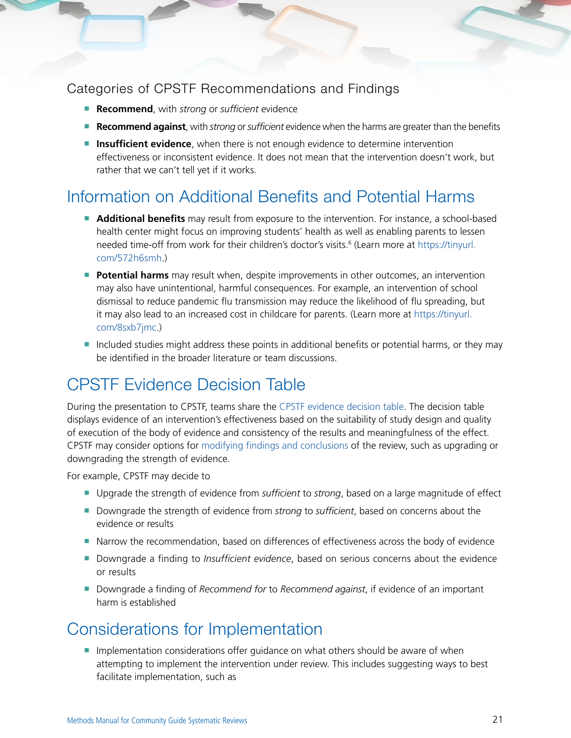### Categories of CPSTF Recommendations and Findings

- **Recommend**, with *strong* or *sufficient* evidence
- **Recommend against**, with *strong* or *sufficient* evidence when the harms are greater than the benefits
- **Insufficient evidence**, when there is not enough evidence to determine intervention effectiveness or inconsistent evidence. It does not mean that the intervention doesn't work, but rather that we can't tell yet if it works.

### Information on Additional Benefits and Potential Harms

- **Additional benefits** may result from exposure to the intervention. For instance, a school-based health center might focus on improving students' health as well as enabling parents to lessen needed time-off from work for their children's doctor's visits.<sup>6</sup> (Learn more at [https://tinyurl.](https://tinyurl.com/572h6smh) [com/572h6smh.](https://tinyurl.com/572h6smh))
- **Potential harms** may result when, despite improvements in other outcomes, an intervention may also have unintentional, harmful consequences. For example, an intervention of school dismissal to reduce pandemic flu transmission may reduce the likelihood of flu spreading, but it may also lead to an increased cost in childcare for parents. (Learn more at [https://tinyurl.](https://tinyurl.com/8sxb7jmc) [com/8sxb7jmc.](https://tinyurl.com/8sxb7jmc))
- Included studies might address these points in additional benefits or potential harms, or they may be identified in the broader literature or team discussions.

### CPSTF Evidence Decision Table

During the presentation to CPSTF, teams share the [CPSTF evidence decision table](#page--1-0). The decision table displays evidence of an intervention's effectiveness based on the suitability of study design and quality of execution of the body of evidence and consistency of the results and meaningfulness of the effect. CPSTF may consider options for [modifying findings and conclusions](#page--1-0) of the review, such as upgrading or downgrading the strength of evidence.

For example, CPSTF may decide to

- Upgrade the strength of evidence from *sufficient* to *strong*, based on a large magnitude of effect
- Downgrade the strength of evidence from *strong* to *sufficient*, based on concerns about the evidence or results
- Narrow the recommendation, based on differences of effectiveness across the body of evidence
- Downgrade a finding to *Insufficient evidence*, based on serious concerns about the evidence or results
- Downgrade a finding of *Recommend for* to *Recommend against*, if evidence of an important harm is established

### Considerations for Implementation

■ Implementation considerations offer guidance on what others should be aware of when attempting to implement the intervention under review. This includes suggesting ways to best facilitate implementation, such as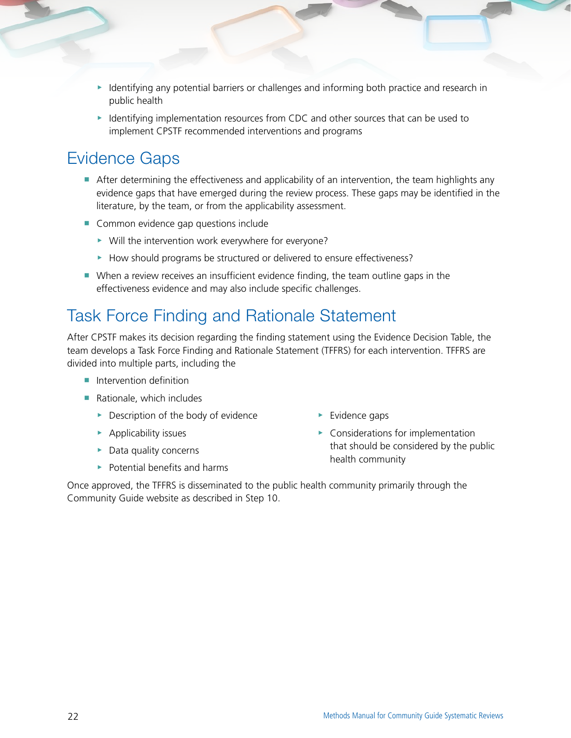- ▶ Identifying any potential barriers or challenges and informing both practice and research in public health
- ▶ Identifying implementation resources from CDC and other sources that can be used to implement CPSTF recommended interventions and programs

### Evidence Gaps

- After determining the effectiveness and applicability of an intervention, the team highlights any evidence gaps that have emerged during the review process. These gaps may be identified in the literature, by the team, or from the applicability assessment.
- Common evidence gap questions include
	- ▶ Will the intervention work everywhere for everyone?
	- ▶ How should programs be structured or delivered to ensure effectiveness?
- When a review receives an insufficient evidence finding, the team outline gaps in the effectiveness evidence and may also include specific challenges.

### Task Force Finding and Rationale Statement

After CPSTF makes its decision regarding the finding statement using the Evidence Decision Table, the team develops a Task Force Finding and Rationale Statement (TFFRS) for each intervention. TFFRS are divided into multiple parts, including the

- Intervention definition
- Rationale, which includes
	- ▶ Description of the body of evidence
	- $\blacktriangleright$  Applicability issues
	- ▶ Data quality concerns
	- $\triangleright$  Potential benefits and harms
- $\blacktriangleright$  Evidence gaps
- ▶ Considerations for implementation that should be considered by the public health community

Once approved, the TFFRS is disseminated to the public health community primarily through the Community Guide website as described in Step 10.